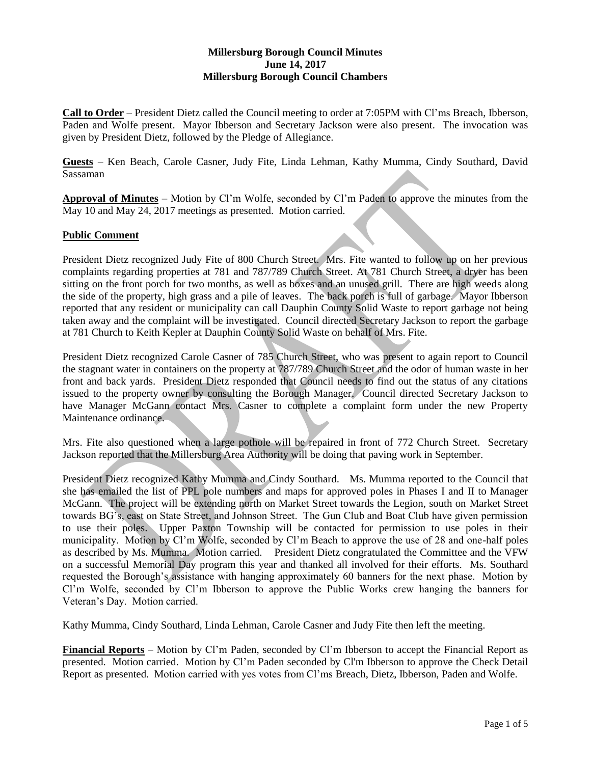# **Millersburg Borough Council Minutes June 14, 2017 Millersburg Borough Council Chambers**

**Call to Order** – President Dietz called the Council meeting to order at 7:05PM with Cl'ms Breach, Ibberson, Paden and Wolfe present. Mayor Ibberson and Secretary Jackson were also present. The invocation was given by President Dietz, followed by the Pledge of Allegiance.

**Guests** – Ken Beach, Carole Casner, Judy Fite, Linda Lehman, Kathy Mumma, Cindy Southard, David Sassaman

**Approval of Minutes** – Motion by Cl'm Wolfe, seconded by Cl'm Paden to approve the minutes from the May 10 and May 24, 2017 meetings as presented. Motion carried.

## **Public Comment**

President Dietz recognized Judy Fite of 800 Church Street. Mrs. Fite wanted to follow up on her previous complaints regarding properties at 781 and 787/789 Church Street. At 781 Church Street, a dryer has been sitting on the front porch for two months, as well as boxes and an unused grill. There are high weeds along the side of the property, high grass and a pile of leaves. The back porch is full of garbage. Mayor Ibberson reported that any resident or municipality can call Dauphin County Solid Waste to report garbage not being taken away and the complaint will be investigated. Council directed Secretary Jackson to report the garbage at 781 Church to Keith Kepler at Dauphin County Solid Waste on behalf of Mrs. Fite.

President Dietz recognized Carole Casner of 785 Church Street, who was present to again report to Council the stagnant water in containers on the property at 787/789 Church Street and the odor of human waste in her front and back yards. President Dietz responded that Council needs to find out the status of any citations issued to the property owner by consulting the Borough Manager. Council directed Secretary Jackson to have Manager McGann contact Mrs. Casner to complete a complaint form under the new Property Maintenance ordinance.

Mrs. Fite also questioned when a large pothole will be repaired in front of 772 Church Street. Secretary Jackson reported that the Millersburg Area Authority will be doing that paving work in September.

President Dietz recognized Kathy Mumma and Cindy Southard. Ms. Mumma reported to the Council that she has emailed the list of PPL pole numbers and maps for approved poles in Phases I and II to Manager McGann. The project will be extending north on Market Street towards the Legion, south on Market Street towards BG's, east on State Street, and Johnson Street. The Gun Club and Boat Club have given permission to use their poles. Upper Paxton Township will be contacted for permission to use poles in their municipality. Motion by Cl'm Wolfe, seconded by Cl'm Beach to approve the use of 28 and one-half poles as described by Ms. Mumma. Motion carried. President Dietz congratulated the Committee and the VFW on a successful Memorial Day program this year and thanked all involved for their efforts. Ms. Southard requested the Borough's assistance with hanging approximately 60 banners for the next phase. Motion by Cl'm Wolfe, seconded by Cl'm Ibberson to approve the Public Works crew hanging the banners for Veteran's Day. Motion carried.

Kathy Mumma, Cindy Southard, Linda Lehman, Carole Casner and Judy Fite then left the meeting.

**Financial Reports** – Motion by Cl'm Paden, seconded by Cl'm Ibberson to accept the Financial Report as presented. Motion carried. Motion by Cl'm Paden seconded by Cl'm Ibberson to approve the Check Detail Report as presented. Motion carried with yes votes from Cl'ms Breach, Dietz, Ibberson, Paden and Wolfe.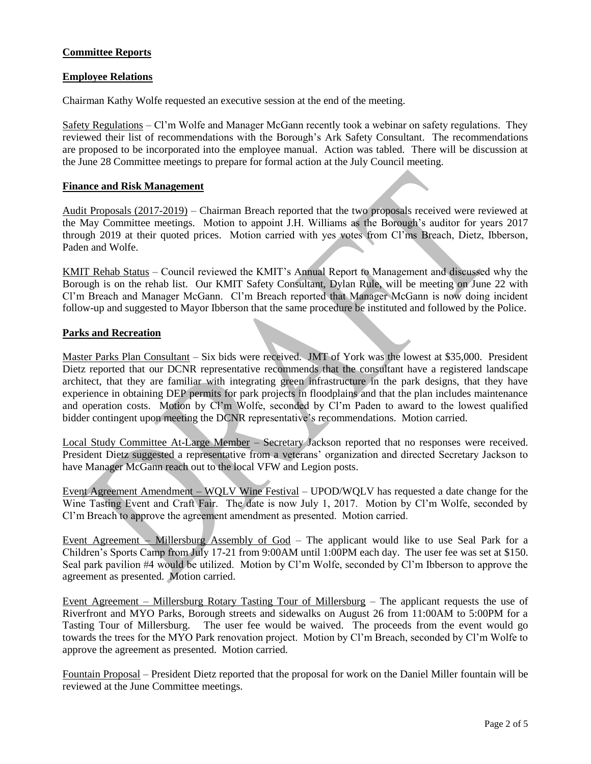# **Committee Reports**

## **Employee Relations**

Chairman Kathy Wolfe requested an executive session at the end of the meeting.

Safety Regulations – Cl'm Wolfe and Manager McGann recently took a webinar on safety regulations. They reviewed their list of recommendations with the Borough's Ark Safety Consultant. The recommendations are proposed to be incorporated into the employee manual. Action was tabled. There will be discussion at the June 28 Committee meetings to prepare for formal action at the July Council meeting.

#### **Finance and Risk Management**

Audit Proposals (2017-2019) – Chairman Breach reported that the two proposals received were reviewed at the May Committee meetings. Motion to appoint J.H. Williams as the Borough's auditor for years 2017 through 2019 at their quoted prices. Motion carried with yes votes from Cl'ms Breach, Dietz, Ibberson, Paden and Wolfe.

KMIT Rehab Status – Council reviewed the KMIT's Annual Report to Management and discussed why the Borough is on the rehab list. Our KMIT Safety Consultant, Dylan Rule, will be meeting on June 22 with Cl'm Breach and Manager McGann. Cl'm Breach reported that Manager McGann is now doing incident follow-up and suggested to Mayor Ibberson that the same procedure be instituted and followed by the Police.

#### **Parks and Recreation**

Master Parks Plan Consultant – Six bids were received. JMT of York was the lowest at \$35,000. President Dietz reported that our DCNR representative recommends that the consultant have a registered landscape architect, that they are familiar with integrating green infrastructure in the park designs, that they have experience in obtaining DEP permits for park projects in floodplains and that the plan includes maintenance and operation costs. Motion by Cl'm Wolfe, seconded by Cl'm Paden to award to the lowest qualified bidder contingent upon meeting the DCNR representative's recommendations. Motion carried.

Local Study Committee At-Large Member – Secretary Jackson reported that no responses were received. President Dietz suggested a representative from a veterans' organization and directed Secretary Jackson to have Manager McGann reach out to the local VFW and Legion posts.

Event Agreement Amendment – WQLV Wine Festival – UPOD/WQLV has requested a date change for the Wine Tasting Event and Craft Fair. The date is now July 1, 2017. Motion by Cl'm Wolfe, seconded by Cl'm Breach to approve the agreement amendment as presented. Motion carried.

Event Agreement – Millersburg Assembly of God – The applicant would like to use Seal Park for a Children's Sports Camp from July 17-21 from 9:00AM until 1:00PM each day. The user fee was set at \$150. Seal park pavilion #4 would be utilized. Motion by Cl'm Wolfe, seconded by Cl'm Ibberson to approve the agreement as presented. Motion carried.

Event Agreement – Millersburg Rotary Tasting Tour of Millersburg – The applicant requests the use of Riverfront and MYO Parks, Borough streets and sidewalks on August 26 from 11:00AM to 5:00PM for a Tasting Tour of Millersburg. The user fee would be waived. The proceeds from the event would go towards the trees for the MYO Park renovation project. Motion by Cl'm Breach, seconded by Cl'm Wolfe to approve the agreement as presented. Motion carried.

Fountain Proposal – President Dietz reported that the proposal for work on the Daniel Miller fountain will be reviewed at the June Committee meetings.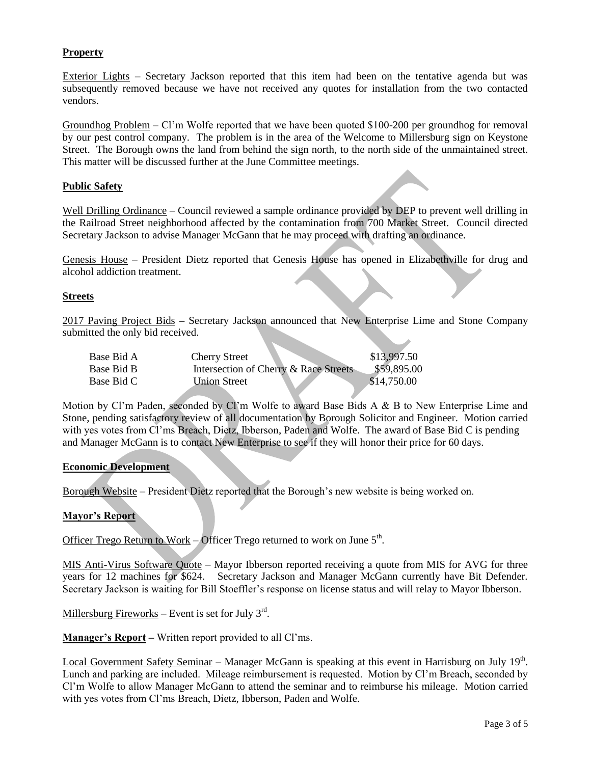# **Property**

Exterior Lights – Secretary Jackson reported that this item had been on the tentative agenda but was subsequently removed because we have not received any quotes for installation from the two contacted vendors.

Groundhog Problem – Cl'm Wolfe reported that we have been quoted \$100-200 per groundhog for removal by our pest control company. The problem is in the area of the Welcome to Millersburg sign on Keystone Street. The Borough owns the land from behind the sign north, to the north side of the unmaintained street. This matter will be discussed further at the June Committee meetings.

#### **Public Safety**

Well Drilling Ordinance – Council reviewed a sample ordinance provided by DEP to prevent well drilling in the Railroad Street neighborhood affected by the contamination from 700 Market Street. Council directed Secretary Jackson to advise Manager McGann that he may proceed with drafting an ordinance.

Genesis House – President Dietz reported that Genesis House has opened in Elizabethville for drug and alcohol addiction treatment.

#### **Streets**

2017 Paving Project Bids **–** Secretary Jackson announced that New Enterprise Lime and Stone Company submitted the only bid received.

| Base Bid A | <b>Cherry Street</b>                  | \$13,997.50 |
|------------|---------------------------------------|-------------|
| Base Bid B | Intersection of Cherry & Race Streets | \$59,895.00 |
| Base Bid C | <b>Union Street</b>                   | \$14,750.00 |

Motion by Cl'm Paden, seconded by Cl'm Wolfe to award Base Bids A & B to New Enterprise Lime and Stone, pending satisfactory review of all documentation by Borough Solicitor and Engineer. Motion carried with yes votes from Cl'ms Breach, Dietz, Ibberson, Paden and Wolfe. The award of Base Bid C is pending and Manager McGann is to contact New Enterprise to see if they will honor their price for 60 days.

#### **Economic Development**

Borough Website – President Dietz reported that the Borough's new website is being worked on.

#### **Mayor's Report**

Officer Trego Return to Work – Officer Trego returned to work on June  $5<sup>th</sup>$ .

MIS Anti-Virus Software Quote – Mayor Ibberson reported receiving a quote from MIS for AVG for three years for 12 machines for \$624. Secretary Jackson and Manager McGann currently have Bit Defender. Secretary Jackson is waiting for Bill Stoeffler's response on license status and will relay to Mayor Ibberson.

Millersburg Fireworks – Event is set for July  $3<sup>rd</sup>$ .

**Manager's Report –** Written report provided to all Cl'ms.

Local Government Safety Seminar – Manager McGann is speaking at this event in Harrisburg on July 19<sup>th</sup>. Lunch and parking are included. Mileage reimbursement is requested. Motion by Cl'm Breach, seconded by Cl'm Wolfe to allow Manager McGann to attend the seminar and to reimburse his mileage. Motion carried with yes votes from Cl'ms Breach, Dietz, Ibberson, Paden and Wolfe.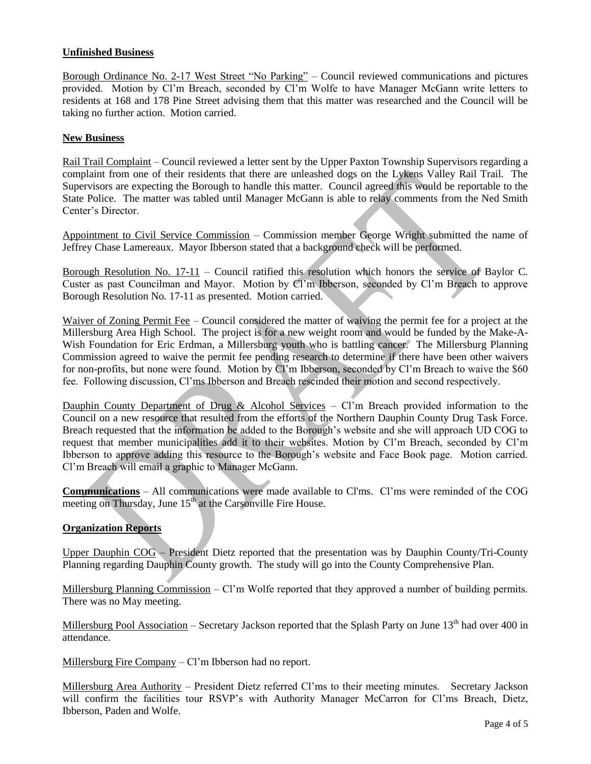# **Unfinished Business**

Borough Ordinance No. 2-17 West Street "No Parking" – Council reviewed communications and pictures provided. Motion by Cl'm Breach, seconded by Cl'm Wolfe to have Manager McGann write letters to residents at 168 and 178 Pine Street advising them that this matter was researched and the Council will be taking no further action. Motion carried.

## **New Business**

Rail Trail Complaint – Council reviewed a letter sent by the Upper Paxton Township Supervisors regarding a complaint from one of their residents that there are unleashed dogs on the Lykens Valley Rail Trail. The Supervisors are expecting the Borough to handle this matter. Council agreed this would be reportable to the State Police. The matter was tabled until Manager McGann is able to relay comments from the Ned Smith Center's Director.

Appointment to Civil Service Commission – Commission member George Wright submitted the name of Jeffrey Chase Lamereaux. Mayor Ibberson stated that a background check will be performed.

Borough Resolution No. 17-11 – Council ratified this resolution which honors the service of Baylor C. Custer as past Councilman and Mayor. Motion by Cl'm Ibberson, seconded by Cl'm Breach to approve Borough Resolution No. 17-11 as presented. Motion carried.

Waiver of Zoning Permit Fee – Council considered the matter of waiving the permit fee for a project at the Millersburg Area High School. The project is for a new weight room and would be funded by the Make-A-Wish Foundation for Eric Erdman, a Millersburg youth who is battling cancer. The Millersburg Planning Commission agreed to waive the permit fee pending research to determine if there have been other waivers for non-profits, but none were found. Motion by Cl'm Ibberson, seconded by Cl'm Breach to waive the \$60 fee. Following discussion, Cl'ms Ibberson and Breach rescinded their motion and second respectively.

Dauphin County Department of Drug & Alcohol Services – Cl'm Breach provided information to the Council on a new resource that resulted from the efforts of the Northern Dauphin County Drug Task Force. Breach requested that the information be added to the Borough's website and she will approach UD COG to request that member municipalities add it to their websites. Motion by Cl'm Breach, seconded by Cl'm Ibberson to approve adding this resource to the Borough's website and Face Book page. Motion carried. Cl'm Breach will email a graphic to Manager McGann.

**Communications** – All communications were made available to Cl'ms. Cl'ms were reminded of the COG meeting on Thursday, June 15<sup>th</sup> at the Carsonville Fire House.

## **Organization Reports**

Upper Dauphin COG – President Dietz reported that the presentation was by Dauphin County/Tri-County Planning regarding Dauphin County growth. The study will go into the County Comprehensive Plan.

Millersburg Planning Commission – Cl'm Wolfe reported that they approved a number of building permits. There was no May meeting.

Millersburg Pool Association – Secretary Jackson reported that the Splash Party on June 13<sup>th</sup> had over 400 in attendance.

Millersburg Fire Company – Cl'm Ibberson had no report.

Millersburg Area Authority – President Dietz referred Cl'ms to their meeting minutes. Secretary Jackson will confirm the facilities tour RSVP's with Authority Manager McCarron for Cl'ms Breach, Dietz, Ibberson, Paden and Wolfe.